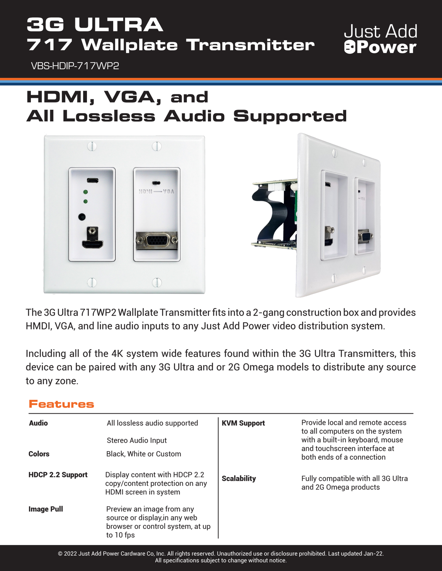# **3G ULTRA 717 Wallplate Transmitter**

VBS-HDIP-717WP2

### **HDMI, VGA, and All Lossless Audio Supported**

**Just Add** 

**OWA** 



The 3G Ultra 717WP2 Wallplate Transmitter fits into a 2-gang construction box and provides HMDI, VGA, and line audio inputs to any Just Add Power video distribution system.

Including all of the 4K system wide features found within the 3G Ultra Transmitters, this device can be paired with any 3G Ultra and or 2G Omega models to distribute any source to any zone.

#### **Features**

| <b>Audio</b><br><b>Colors</b> | All lossless audio supported<br>Stereo Audio Input<br>Black, White or Custom                                | <b>KVM Support</b> | Provide local and remote access<br>to all computers on the system<br>with a built-in keyboard, mouse<br>and touchscreen interface at<br>both ends of a connection |
|-------------------------------|-------------------------------------------------------------------------------------------------------------|--------------------|-------------------------------------------------------------------------------------------------------------------------------------------------------------------|
| <b>HDCP 2.2 Support</b>       | Display content with HDCP 2.2<br>copy/content protection on any<br>HDMI screen in system                    | <b>Scalability</b> | Fully compatible with all 3G Ultra<br>and 2G Omega products                                                                                                       |
| <b>Image Pull</b>             | Preview an image from any<br>source or display, in any web<br>browser or control system, at up<br>to 10 fps |                    |                                                                                                                                                                   |